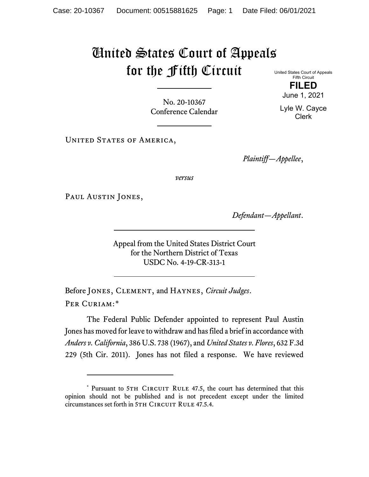## United States Court of Appeals for the Fifth Circuit

No. 20-10367 Conference Calendar

UNITED STATES OF AMERICA,

*Plaintiff—Appellee*,

*versus*

PAUL AUSTIN JONES,

*Defendant—Appellant*.

Appeal from the United States District Court for the Northern District of Texas USDC No. 4-19-CR-313-1

Before Jones, Clement, and Haynes, *Circuit Judges*. Per Curiam:[\\*](#page-0-0)

The Federal Public Defender appointed to represent Paul Austin Jones has moved for leave to withdraw and has filed a brief in accordance with *Anders v. California*, 386 U.S. 738 (1967), and *United States v. Flores*, 632 F.3d 229 (5th Cir. 2011). Jones has not filed a response. We have reviewed

United States Court of Appeals Fifth Circuit **FILED**

June 1, 2021

Lyle W. Cayce Clerk

<span id="page-0-0"></span><sup>\*</sup> Pursuant to 5TH CIRCUIT RULE 47.5, the court has determined that this opinion should not be published and is not precedent except under the limited circumstances set forth in 5TH CIRCUIT RULE 47.5.4.